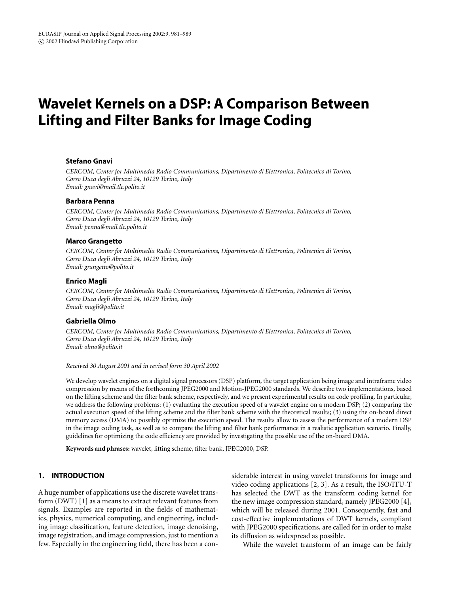# **Wavelet Kernels on a DSP: A Comparison Between Lifting and Filter Banks for Image Coding**

# **Stefano Gnavi**

*CERCOM, Center for Multimedia Radio Communications, Dipartimento di Elettronica, Politecnico di Torino, Corso Duca degli Abruzzi 24, 10129 Torino, Italy Email: [gnavi@mail.tlc.polito.it](mailto:gnavi@mail.tlc.polito.it)*

# **Barbara Penna**

*CERCOM, Center for Multimedia Radio Communications, Dipartimento di Elettronica, Politecnico di Torino, Corso Duca degli Abruzzi 24, 10129 Torino, Italy Email: [penna@mail.tlc.polito.it](mailto:penna@mail.tlc.polito.it)*

# **Marco Grangetto**

*CERCOM, Center for Multimedia Radio Communications, Dipartimento di Elettronica, Politecnico di Torino, Corso Duca degli Abruzzi 24, 10129 Torino, Italy Email: [grangetto@polito.it](mailto:grangetto@polito.it)*

# **Enrico Magli**

*CERCOM, Center for Multimedia Radio Communications, Dipartimento di Elettronica, Politecnico di Torino, Corso Duca degli Abruzzi 24, 10129 Torino, Italy Email: [magli@polito.it](mailto:magli@polito.it)*

# **Gabriella Olmo**

*CERCOM, Center for Multimedia Radio Communications, Dipartimento di Elettronica, Politecnico di Torino, Corso Duca degli Abruzzi 24, 10129 Torino, Italy Email: [olmo@polito.it](mailto:olmo@polito.it)*

#### *Received 30 August 2001 and in revised form 30 April 2002*

We develop wavelet engines on a digital signal processors (DSP) platform, the target application being image and intraframe video compression by means of the forthcoming JPEG2000 and Motion-JPEG2000 standards. We describe two implementations, based on the lifting scheme and the filter bank scheme, respectively, and we present experimental results on code profiling. In particular, we address the following problems: (1) evaluating the execution speed of a wavelet engine on a modern DSP; (2) comparing the actual execution speed of the lifting scheme and the filter bank scheme with the theoretical results; (3) using the on-board direct memory access (DMA) to possibly optimize the execution speed. The results allow to assess the performance of a modern DSP in the image coding task, as well as to compare the lifting and filter bank performance in a realistic application scenario. Finally, guidelines for optimizing the code efficiency are provided by investigating the possible use of the on-board DMA.

**Keywords and phrases:** wavelet, lifting scheme, filter bank, JPEG2000, DSP.

# <span id="page-0-0"></span>**1. INTRODUCTION**

A huge number of applications use the discrete wavelet transform (DWT) [\[1\]](#page-7-0) as a means to extract relevant features from signals. Examples are reported in the fields of mathematics, physics, numerical computing, and engineering, including image classification, feature detection, image denoising, image registration, and image compression, just to mention a few. Especially in the engineering field, there has been a con-

siderable interest in using wavelet transforms for image and video coding applications [\[2](#page-7-1), [3\]](#page-7-2). As a result, the ISO/ITU-T has selected the DWT as the transform coding kernel for the new image compression standard, namely JPEG2000 [\[4](#page-7-3)], which will be released during 2001. Consequently, fast and cost-effective implementations of DWT kernels, compliant with JPEG2000 specifications, are called for in order to make its diffusion as widespread as possible.

While the wavelet transform of an image can be fairly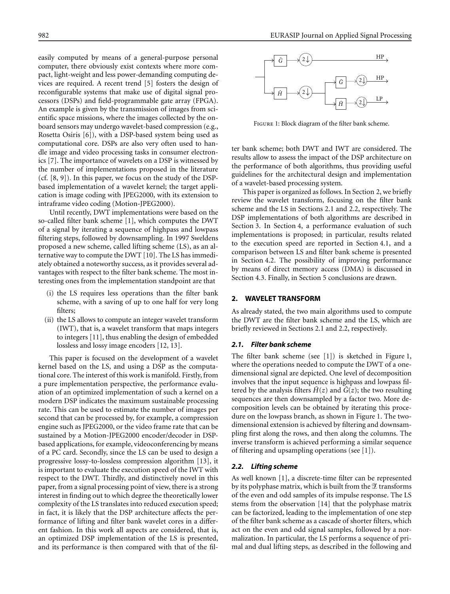easily computed by means of a general-purpose personal computer, there obviously exist contexts where more compact, light-weight and less power-demanding computing devices are required. A recent trend [\[5\]](#page-7-4) fosters the design of reconfigurable systems that make use of digital signal processors (DSPs) and field-programmable gate array (FPGA). An example is given by the transmission of images from scientific space missions, where the images collected by the onboard sensors may undergo wavelet-based compression (e.g., Rosetta Osiris [\[6\]](#page-7-5)), with a DSP-based system being used as computational core. DSPs are also very often used to handle image and video processing tasks in consumer electronics [\[7](#page-7-6)]. The importance of wavelets on a DSP is witnessed by the number of implementations proposed in the literature (cf. [\[8](#page-7-7), [9](#page-7-8)]). In this paper, we focus on the study of the DSPbased implementation of a wavelet kernel; the target application is image coding with JPEG2000, with its extension to intraframe video coding (Motion-JPEG2000).

Until recently, DWT implementations were based on the so-called filter bank scheme [\[1](#page-7-0)], which computes the DWT of a signal by iterating a sequence of highpass and lowpass filtering steps, followed by downsampling. In 1997 Sweldens proposed a new scheme, called lifting scheme (LS), as an alternative way to compute the DWT [\[10\]](#page-7-9). The LS has immediately obtained a noteworthy success, as it provides several advantages with respect to the filter bank scheme. The most interesting ones from the implementation standpoint are that

- (i) the LS requires less operations than the filter bank scheme, with a saving of up to one half for very long filters;
- (ii) the LS allows to compute an integer wavelet transform (IWT), that is, a wavelet transform that maps integers to integers [\[11\]](#page-7-10), thus enabling the design of embedded lossless and lossy image encoders [\[12,](#page-7-11) [13\]](#page-7-12).

This paper is focused on the development of a wavelet kernel based on the LS, and using a DSP as the computational core. The interest of this work is manifold. Firstly, from a pure implementation perspective, the performance evaluation of an optimized implementation of such a kernel on a modern DSP indicates the maximum sustainable processing rate. This can be used to estimate the number of images per second that can be processed by, for example, a compression engine such as JPEG2000, or the video frame rate that can be sustained by a Motion-JPEG2000 encoder/decoder in DSPbased applications, for example, videoconferencing by means of a PC card. Secondly, since the LS can be used to design a progressive lossy-to-lossless compression algorithm [\[13\]](#page-7-12), it is important to evaluate the execution speed of the IWT with respect to the DWT. Thirdly, and distinctively novel in this paper, from a signal processing point of view, there is a strong interest in finding out to which degree the theoretically lower complexity of the LS translates into reduced execution speed; in fact, it is likely that the DSP architecture affects the performance of lifting and filter bank wavelet cores in a different fashion. In this work all aspects are considered, that is, an optimized DSP implementation of the LS is presented, and its performance is then compared with that of the fil-



Figure 1: Block diagram of the filter bank scheme.

<span id="page-1-3"></span>ter bank scheme; both DWT and IWT are considered. The results allow to assess the impact of the DSP architecture on the performance of both algorithms, thus providing useful guidelines for the architectural design and implementation of a wavelet-based processing system.

This paper is organized as follows. In [Section 2,](#page-1-0) we briefly review the wavelet transform, focusing on the filter bank scheme and the LS in Sections [2.1](#page-1-1) and [2.2,](#page-1-2) respectively. The DSP implementations of both algorithms are described in [Section 3.](#page-2-0) In [Section 4,](#page-3-0) a performance evaluation of such implementations is proposed; in particular, results related to the execution speed are reported in [Section 4.1,](#page-4-0) and a comparison between LS and filter bank scheme is presented in [Section 4.2.](#page-4-1) The possibility of improving performance by means of direct memory access (DMA) is discussed in [Section 4.3.](#page-5-0) Finally, in [Section 5](#page-6-0) conclusions are drawn.

# <span id="page-1-0"></span>**2. WAVELET TRANSFORM**

As already stated, the two main algorithms used to compute the DWT are the filter bank scheme and the LS, which are briefly reviewed in Sections [2.1](#page-1-1) and [2.2,](#page-1-2) respectively.

# <span id="page-1-1"></span>*2.1. Filter bank scheme*

The filter bank scheme (see [\[1\]](#page-7-0)) is sketched in [Figure 1,](#page-1-3) where the operations needed to compute the DWT of a onedimensional signal are depicted. One level of decomposition involves that the input sequence is highpass and lowpass filtered by the analysis filters  $\tilde{H}(z)$  and  $\tilde{G}(z)$ ; the two resulting sequences are then downsampled by a factor two. More decomposition levels can be obtained by iterating this procedure on the lowpass branch, as shown in [Figure 1.](#page-1-3) The twodimensional extension is achieved by filtering and downsampling first along the rows, and then along the columns. The inverse transform is achieved performing a similar sequence of filtering and upsampling operations (see [\[1](#page-7-0)]).

#### <span id="page-1-2"></span>*2.2. Lifting scheme*

As well known [\[1](#page-7-0)], a discrete-time filter can be represented by its polyphase matrix, which is built from the  $\mathscr E$  transforms of the even and odd samples of its impulse response. The LS stems from the observation [\[14](#page-7-13)] that the polyphase matrix can be factorized, leading to the implementation of one step of the filter bank scheme as a cascade of shorter filters, which act on the even and odd signal samples, followed by a normalization. In particular, the LS performs a sequence of primal and dual lifting steps, as described in the following and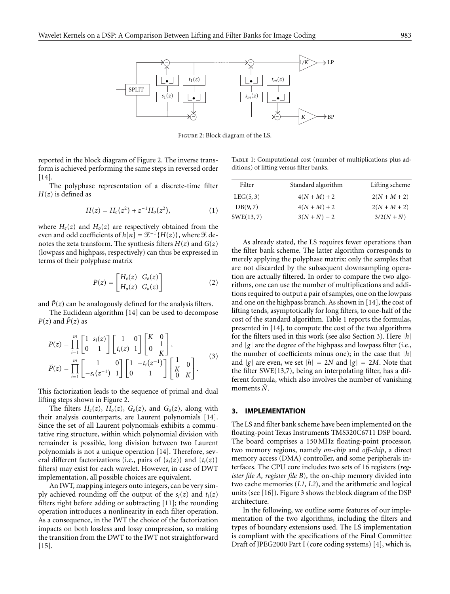

<span id="page-2-1"></span>Figure 2: Block diagram of the LS.

reported in the block diagram of [Figure 2.](#page-2-1) The inverse transform is achieved performing the same steps in reversed order [\[14](#page-7-13)].

The polyphase representation of a discrete-time filter  $H(z)$  is defined as

$$
H(z) = H_e(z^2) + z^{-1}H_o(z^2), \tag{1}
$$

where  $H_e(z)$  and  $H_o(z)$  are respectively obtained from the even and odd coefficients of  $h[n] = \mathcal{L}^{-1}{H(z)}$ , where  $\mathcal L$  denotes the zeta transform. The synthesis filters  $H(z)$  and  $G(z)$ (lowpass and highpass, respectively) can thus be expressed in terms of their polyphase matrix

$$
P(z) = \begin{bmatrix} H_e(z) & G_e(z) \\ H_o(z) & G_o(z) \end{bmatrix} \tag{2}
$$

and  $P(z)$  can be analogously defined for the analysis filters.

The Euclidean algorithm [\[14\]](#page-7-13) can be used to decompose  $P(z)$  and  $\tilde{P}(z)$  as

$$
P(z) = \prod_{i=1}^{m} \begin{bmatrix} 1 & s_i(z) \\ 0 & 1 \end{bmatrix} \begin{bmatrix} 1 & 0 \\ t_i(z) & 1 \end{bmatrix} \begin{bmatrix} K & 0 \\ 0 & \frac{1}{K} \end{bmatrix},
$$
  

$$
\tilde{P}(z) = \prod_{i=1}^{m} \begin{bmatrix} 1 & 0 \\ -s_i(z^{-1}) & 1 \end{bmatrix} \begin{bmatrix} 1 & -t_i(z^{-1}) \\ 0 & 1 \end{bmatrix} \begin{bmatrix} \frac{1}{K} & 0 \\ 0 & K \end{bmatrix}.
$$
 (3)

This factorization leads to the sequence of primal and dual lifting steps shown in [Figure 2.](#page-2-1)

The filters  $H_e(z)$ ,  $H_o(z)$ ,  $G_e(z)$ , and  $G_o(z)$ , along with their analysis counterparts, are Laurent polynomials [\[14\]](#page-7-13). Since the set of all Laurent polynomials exhibits a commutative ring structure, within which polynomial division with remainder is possible, long division between two Laurent polynomials is not a unique operation [\[14\]](#page-7-13). Therefore, several different factorizations (i.e., pairs of  $\{s_i(z)\}\$  and  $\{t_i(z)\}\$ filters) may exist for each wavelet. However, in case of DWT implementation, all possible choices are equivalent.

An IWT, mapping integers onto integers, can be very simply achieved rounding off the output of the  $s_i(z)$  and  $t_i(z)$ filters right before adding or subtracting [\[11](#page-7-10)]; the rounding operation introduces a nonlinearity in each filter operation. As a consequence, in the IWT the choice of the factorization impacts on both lossless and lossy compression, so making the transition from the DWT to the IWT not straightforward  $[15]$  $[15]$ .

<span id="page-2-2"></span>TABLE 1: Computational cost (number of multiplications plus additions) of lifting versus filter banks.

| Filter     | Standard algorithm     | Lifting scheme       |
|------------|------------------------|----------------------|
| LEG(5, 3)  | $4(N+M)+2$             | $2(N+M+2)$           |
| DB(9,7)    | $4(N+M)+2$             | $2(N+M+2)$           |
| SWE(13, 7) | $3(N + \tilde{N}) - 2$ | $3/2(N + \tilde{N})$ |
|            |                        |                      |

As already stated, the LS requires fewer operations than the filter bank scheme. The latter algorithm corresponds to merely applying the polyphase matrix: only the samples that are not discarded by the subsequent downsampling operation are actually filtered. In order to compare the two algorithms, one can use the number of multiplications and additions required to output a pair of samples, one on the lowpass and one on the highpass branch. As shown in [\[14](#page-7-13)], the cost of lifting tends, asymptotically for long filters, to one-half of the cost of the standard algorithm. [Table 1](#page-2-2) reports the formulas, presented in [\[14\]](#page-7-13), to compute the cost of the two algorithms for the filters used in this work (see also [Section 3\)](#page-2-0). Here *|h|* and *|g|* are the degree of the highpass and lowpass filter (i.e., the number of coefficients minus one); in the case that *|h|* and  $|g|$  are even, we set  $|h| = 2N$  and  $|g| = 2M$ . Note that the filter SWE(13,7), being an interpolating filter, has a different formula, which also involves the number of vanishing moments  $\tilde{N}$ .

# <span id="page-2-0"></span>**3. IMPLEMENTATION**

The LS and filter bank scheme have been implemented on the floating-point Texas Instruments TMS320C6711 DSP board. The board comprises a 150 MHz floating-point processor, two memory regions, namely *on-chip* and *off-chip*, a direct memory access (DMA) controller, and some peripherals interfaces. The CPU core includes two sets of 16 registers (*register file A, register file B*), the on-chip memory divided into two cache memories (*L1, L2*), and the arithmetic and logical units (see [\[16\]](#page-7-15)). [Figure 3](#page-3-1) shows the block diagram of the DSP architecture.

In the following, we outline some features of our implementation of the two algorithms, including the filters and types of boundary extensions used. The LS implementation is compliant with the specifications of the Final Committee Draft of JPEG2000 Part I (core coding systems) [\[4\]](#page-7-3), which is,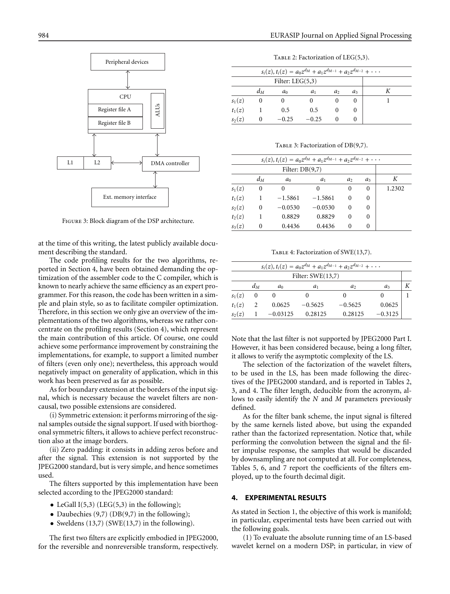

Figure 3: Block diagram of the DSP architecture.

<span id="page-3-1"></span>at the time of this writing, the latest publicly available document describing the standard.

The code profiling results for the two algorithms, reported in [Section 4,](#page-3-0) have been obtained demanding the optimization of the assembler code to the C compiler, which is known to nearly achieve the same efficiency as an expert programmer. For this reason, the code has been written in a simple and plain style, so as to facilitate compiler optimization. Therefore, in this section we only give an overview of the implementations of the two algorithms, whereas we rather concentrate on the profiling results [\(Section 4\)](#page-3-0), which represent the main contribution of this article. Of course, one could achieve some performance improvement by constraining the implementations, for example, to support a limited number of filters (even only one); nevertheless, this approach would negatively impact on generality of application, which in this work has been preserved as far as possible.

As for boundary extension at the borders of the input signal, which is necessary because the wavelet filters are noncausal, two possible extensions are considered.

(i) Symmetric extension: it performs mirroring of the signal samples outside the signal support. If used with biorthogonal symmetric filters, it allows to achieve perfect reconstruction also at the image borders.

(ii) Zero padding: it consists in adding zeros before and after the signal. This extension is not supported by the JPEG2000 standard, but is very simple, and hence sometimes used.

The filters supported by this implementation have been selected according to the JPEG2000 standard:

- LeGall I(5,3) (LEG(5,3) in the following);
- Daubechies (9,7) (DB(9,7) in the following);
- *•* Sweldens (13,7) (SWE(13,7) in the following).

The first two filters are explicitly embodied in JPEG2000, for the reversible and nonreversible transform, respectively.

TABLE 2: Factorization of  $LEG(5,3)$ .

<span id="page-3-2"></span>

| $s_i(z)$ , $t_i(z) = a_0 z^{d_M} + a_1 z^{d_{M-1}} + a_2 z^{d_{M-2}} + \cdots$ |       |                    |         |    |       |  |
|--------------------------------------------------------------------------------|-------|--------------------|---------|----|-------|--|
|                                                                                |       | Filter: $LEG(5,3)$ |         |    |       |  |
|                                                                                | $d_M$ | $a_0$              | $a_1$   | a, | $a_3$ |  |
| $s_1(z)$                                                                       |       |                    |         |    |       |  |
| $t_1(z)$                                                                       |       | 0.5                | 0.5     |    |       |  |
| $s_2(z)$                                                                       |       | $-0.25$            | $-0.25$ |    |       |  |

TABLE 3: Factorization of DB(9,7).

<span id="page-3-3"></span>

|          | $s_i(z)$ , $t_i(z) = a_0 z^{d_M} + a_1 z^{d_{M-1}} + a_2 z^{d_{M-2}} + \cdots$ |                   |           |                |                |        |  |
|----------|--------------------------------------------------------------------------------|-------------------|-----------|----------------|----------------|--------|--|
|          |                                                                                | Filter: $DB(9,7)$ |           |                |                |        |  |
|          | $d_M$                                                                          | a <sub>0</sub>    | $a_1$     | a <sub>2</sub> | a <sub>3</sub> | К      |  |
| $s_1(z)$ | $\theta$                                                                       | 0                 |           | 0              | 0              | 1.2302 |  |
| $t_1(z)$ |                                                                                | $-1.5861$         | $-1.5861$ | 0              | 0              |        |  |
| $s_2(z)$ | $\Omega$                                                                       | $-0.0530$         | $-0.0530$ | 0              | 0              |        |  |
| $t_2(z)$ |                                                                                | 0.8829            | 0.8829    | 0              | 0              |        |  |
| $s_3(z)$ |                                                                                | 0.4436            | 0.4436    |                | 0              |        |  |

TABLE 4: Factorization of SWE(13,7).

<span id="page-3-4"></span>

| $s_i(z)$ , $t_i(z) = a_0 z^{d_M} + a_1 z^{d_{M-1}} + a_2 z^{d_{M-2}} + \cdots$ |          |            |           |           |           |  |
|--------------------------------------------------------------------------------|----------|------------|-----------|-----------|-----------|--|
| Filter: $SWE(13,7)$                                                            |          |            |           |           |           |  |
|                                                                                | $d_M$    | $a_0$      | $a_1$     | a         | $a_3$     |  |
| $s_1(z)$                                                                       | $\theta$ |            |           |           |           |  |
| $t_1(z)$                                                                       | 2        | 0.0625     | $-0.5625$ | $-0.5625$ | 0.0625    |  |
| $s_2(z)$                                                                       |          | $-0.03125$ | 0.28125   | 0.28125   | $-0.3125$ |  |

Note that the last filter is not supported by JPEG2000 Part I. However, it has been considered because, being a long filter, it allows to verify the asymptotic complexity of the LS.

The selection of the factorization of the wavelet filters, to be used in the LS, has been made following the directives of the JPEG2000 standard, and is reported in Tables [2,](#page-3-2) [3,](#page-3-3) and [4.](#page-3-4) The filter length, deducible from the acronym, allows to easily identify the *N* and *M* parameters previously defined.

As for the filter bank scheme, the input signal is filtered by the same kernels listed above, but using the expanded rather than the factorized representation. Notice that, while performing the convolution between the signal and the filter impulse response, the samples that would be discarded by downsampling are not computed at all. For completeness, Tables [5,](#page-4-2) [6,](#page-4-3) and [7](#page-4-4) report the coefficients of the filters employed, up to the fourth decimal digit.

# <span id="page-3-0"></span>**4. EXPERIMENTAL RESULTS**

As stated in [Section 1,](#page-0-0) the objective of this work is manifold; in particular, experimental tests have been carried out with the following goals.

(1) To evaluate the absolute running time of an LS-based wavelet kernel on a modern DSP; in particular, in view of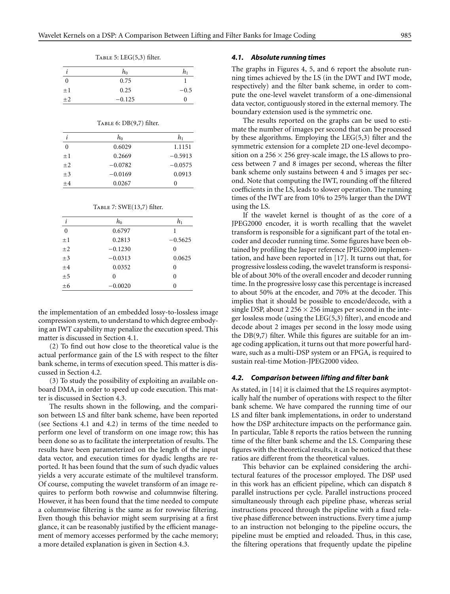<span id="page-4-2"></span>

|              | $h_0$    | h1     |
|--------------|----------|--------|
| $\mathbf{0}$ | 0.75     |        |
| $\pm 1$      | 0.25     | $-0.5$ |
| $\pm 2$      | $-0.125$ | 0      |

Table 5: LEG(5,3) filter.

| Тавlе 6: DB(9,7) filter. |  |  |  |  |
|--------------------------|--|--|--|--|
|--------------------------|--|--|--|--|

<span id="page-4-3"></span>

|          | $h_0$     | hı        |
|----------|-----------|-----------|
| $\theta$ | 0.6029    | 1.1151    |
| $+1$     | 0.2669    | $-0.5913$ |
| $+2$     | $-0.0782$ | $-0.0575$ |
| $\pm 3$  | $-0.0169$ | 0.0913    |
| $+4$     | 0.0267    | 0         |

Table 7: SWE(13,7) filter.

<span id="page-4-4"></span>

|              | $h_0$     | $h_1$     |
|--------------|-----------|-----------|
| $\mathbf{0}$ | 0.6797    |           |
| $\pm 1$      | 0.2813    | $-0.5625$ |
| $\pm 2$      | $-0.1230$ | 0         |
| $\pm 3$      | $-0.0313$ | 0.0625    |
| $\pm 4$      | 0.0352    | 0         |
| ±5           | 0         | 0         |
| $\pm 6$      | $-0.0020$ |           |

the implementation of an embedded lossy-to-lossless image compression system, to understand to which degree embodying an IWT capability may penalize the execution speed. This matter is discussed in [Section 4.1.](#page-4-0)

(2) To find out how close to the theoretical value is the actual performance gain of the LS with respect to the filter bank scheme, in terms of execution speed. This matter is discussed in [Section 4.2.](#page-4-1)

(3) To study the possibility of exploiting an available onboard DMA, in order to speed up code execution. This matter is discussed in [Section 4.3.](#page-5-0)

The results shown in the following, and the comparison between LS and filter bank scheme, have been reported (see Sections [4.1](#page-4-0) and [4.2\)](#page-4-1) in terms of the time needed to perform one level of transform on one image row; this has been done so as to facilitate the interpretation of results. The results have been parameterized on the length of the input data vector, and execution times for dyadic lengths are reported. It has been found that the sum of such dyadic values yields a very accurate estimate of the multilevel transform. Of course, computing the wavelet transform of an image requires to perform both rowwise and columnwise filtering. However, it has been found that the time needed to compute a columnwise filtering is the same as for rowwise filtering. Even though this behavior might seem surprising at a first glance, it can be reasonably justified by the efficient management of memory accesses performed by the cache memory; a more detailed explanation is given in [Section 4.3.](#page-5-0)

### <span id="page-4-0"></span>*4.1. Absolute running times*

The graphs in Figures [4,](#page-5-1) [5,](#page-5-2) and [6](#page-5-3) report the absolute running times achieved by the LS (in the DWT and IWT mode, respectively) and the filter bank scheme, in order to compute the one-level wavelet transform of a one-dimensional data vector, contiguously stored in the external memory. The boundary extension used is the symmetric one.

The results reported on the graphs can be used to estimate the number of images per second that can be processed by these algorithms. Employing the LEG(5,3) filter and the symmetric extension for a complete 2D one-level decomposition on a 256 *×* 256 grey-scale image, the LS allows to process between 7 and 8 images per second, whereas the filter bank scheme only sustains between 4 and 5 images per second. Note that computing the IWT, rounding off the filtered coefficients in the LS, leads to slower operation. The running times of the IWT are from 10% to 25% larger than the DWT using the LS.

If the wavelet kernel is thought of as the core of a JPEG2000 encoder, it is worth recalling that the wavelet transform is responsible for a significant part of the total encoder and decoder running time. Some figures have been obtained by profiling the Jasper reference JPEG2000 implementation, and have been reported in [\[17\]](#page-7-16). It turns out that, for progressive lossless coding, the wavelet transform is responsible of about 30% of the overall encoder and decoder running time. In the progressive lossy case this percentage is increased to about 50% at the encoder, and 70% at the decoder. This implies that it should be possible to encode/decode, with a single DSP, about 2 256 *×* 256 images per second in the integer lossless mode (using the LEG(5,3) filter), and encode and decode about 2 images per second in the lossy mode using the DB(9,7) filter. While this figures are suitable for an image coding application, it turns out that more powerful hardware, such as a multi-DSP system or an FPGA, is required to sustain real-time Motion-JPEG2000 video.

#### <span id="page-4-1"></span>*4.2. Comparison between lifting and filter bank*

As stated, in [\[14\]](#page-7-13) it is claimed that the LS requires asymptotically half the number of operations with respect to the filter bank scheme. We have compared the running time of our LS and filter bank implementations, in order to understand how the DSP architecture impacts on the performance gain. In particular, [Table 8](#page-5-4) reports the ratios between the running time of the filter bank scheme and the LS. Comparing these figures with the theoretical results, it can be noticed that these ratios are different from the theoretical values.

This behavior can be explained considering the architectural features of the processor employed. The DSP used in this work has an efficient pipeline, which can dispatch 8 parallel instructions per cycle. Parallel instructions proceed simultaneously through each pipeline phase, whereas serial instructions proceed through the pipeline with a fixed relative phase difference between instructions. Every time a jump to an instruction not belonging to the pipeline occurs, the pipeline must be emptied and reloaded. Thus, in this case, the filtering operations that frequently update the pipeline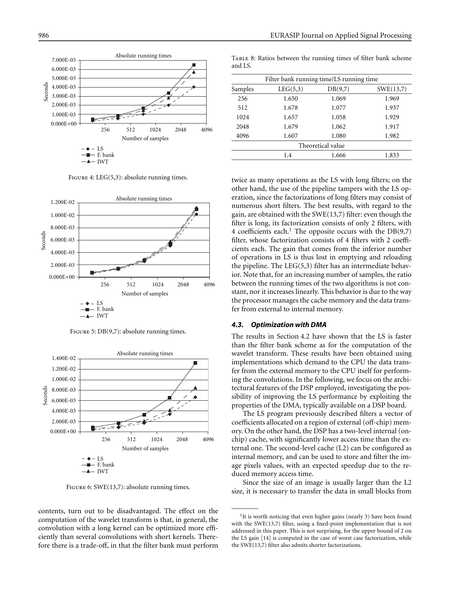

FIGURE 4: LEG(5,3): absolute running times.

<span id="page-5-1"></span>

FIGURE 5: DB(9,7): absolute running times.

<span id="page-5-2"></span>

FIGURE 6: SWE(13,7): absolute running times.

<span id="page-5-3"></span>contents, turn out to be disadvantaged. The effect on the computation of the wavelet transform is that, in general, the convolution with a long kernel can be optimized more efficiently than several convolutions with short kernels. Therefore there is a trade-off, in that the filter bank must perform

<span id="page-5-4"></span>Table 8: Ratios between the running times of filter bank scheme and LS.

| Filter bank running time/LS running time |          |         |           |  |
|------------------------------------------|----------|---------|-----------|--|
| Samples                                  | LEG(5,3) | DB(9,7) | SWE(13,7) |  |
| 256                                      | 1.650    | 1.069   | 1.969     |  |
| 512                                      | 1.678    | 1.077   | 1.937     |  |
| 1024                                     | 1.657    | 1.058   | 1.929     |  |
| 2048                                     | 1.679    | 1.062   | 1.917     |  |
| 4096                                     | 1.607    | 1.080   | 1.982     |  |
| Theoretical value                        |          |         |           |  |
|                                          | 1.4      | 1.666   | 1.833     |  |
|                                          |          |         |           |  |

twice as many operations as the LS with long filters; on the other hand, the use of the pipeline tampers with the LS operation, since the factorizations of long filters may consist of numerous short filters. The best results, with regard to the gain, are obtained with the SWE(13,7) filter: even though the filter is long, its factorization consists of only 2 filters, with 4 coefficients each.<sup>1</sup> The opposite occurs with the  $DB(9,7)$ filter, whose factorization consists of 4 filters with 2 coefficients each. The gain that comes from the inferior number of operations in LS is thus lost in emptying and reloading the pipeline. The LEG(5,3) filter has an intermediate behavior. Note that, for an increasing number of samples, the ratio between the running times of the two algorithms is not constant, nor it increases linearly. This behavior is due to the way the processor manages the cache memory and the data transfer from external to internal memory.

## <span id="page-5-0"></span>*4.3. Optimization with DMA*

The results in [Section 4.2](#page-4-1) have shown that the LS is faster than the filter bank scheme as for the computation of the wavelet transform. These results have been obtained using implementations which demand to the CPU the data transfer from the external memory to the CPU itself for performing the convolutions. In the following, we focus on the architectural features of the DSP employed, investigating the possibility of improving the LS performance by exploiting the properties of the DMA, typically available on a DSP board.

The LS program previously described filters a vector of coefficients allocated on a region of external (off-chip) memory. On the other hand, the DSP has a two-level internal (onchip) cache, with significantly lower access time than the external one. The second-level cache (L2) can be configured as internal memory, and can be used to store and filter the image pixels values, with an expected speedup due to the reduced memory access time.

Since the size of an image is usually larger than the L2 size, it is necessary to transfer the data in small blocks from

<sup>&</sup>lt;sup>1</sup>It is worth noticing that even higher gains (nearly 3) have been found with the SWE(13,7) filter, using a fixed-point implementation that is not addressed in this paper. This is not surprising, for the upper bound of 2 on the LS gain [\[14\]](#page-7-13) is computed in the case of worst case factorization, while the SWE(13,7) filter also admits shorter factorizations.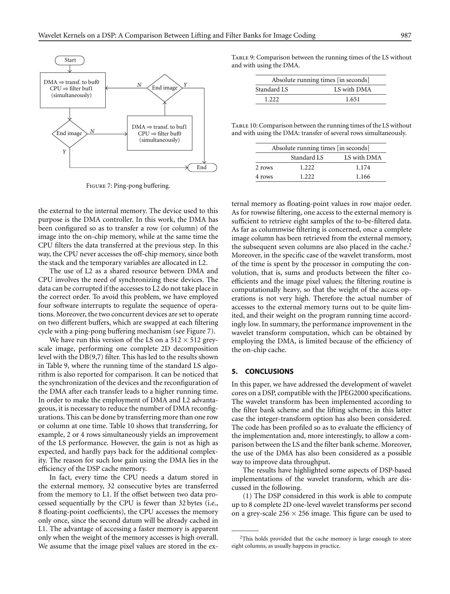

<span id="page-6-1"></span>Figure 7: Ping-pong buffering.

the external to the internal memory. The device used to this purpose is the DMA controller. In this work, the DMA has been configured so as to transfer a row (or column) of the image into the on-chip memory, while at the same time the CPU filters the data transferred at the previous step. In this way, the CPU never accesses the off-chip memory, since both the stack and the temporary variables are allocated in L2.

The use of L2 as a shared resource between DMA and CPU involves the need of synchronizing these devices. The data can be corrupted if the accesses to L2 do not take place in the correct order. To avoid this problem, we have employed four software interrupts to regulate the sequence of operations. Moreover, the two concurrent devices are set to operate on two different buffers, which are swapped at each filtering cycle with a ping-pong buffering mechanism (see [Figure 7\)](#page-6-1).

We have run this version of the LS on a  $512 \times 512$  greyscale image, performing one complete 2D decomposition level with the DB(9,7) filter. This has led to the results shown in [Table 9,](#page-6-2) where the running time of the standard LS algorithm is also reported for comparison. It can be noticed that the synchronization of the devices and the reconfiguration of the DMA after each transfer leads to a higher running time. In order to make the employment of DMA and L2 advantageous, it is necessary to reduce the number of DMA reconfigurations. This can be done by transferring more than one row or column at one time. [Table 10](#page-6-3) shows that transferring, for example, 2 or 4 rows simultaneously yields an improvement of the LS performance. However, the gain is not as high as expected, and hardly pays back for the additional complexity. The reason for such low gain using the DMA lies in the efficiency of the DSP cache memory.

In fact, every time the CPU needs a datum stored in the external memory, 32 consecutive bytes are transferred from the memory to L1. If the offset between two data processed sequentially by the CPU is fewer than 32 bytes (i.e., 8 floating-point coefficients), the CPU accesses the memory only once, since the second datum will be already cached in L1. The advantage of accessing a faster memory is apparent only when the weight of the memory accesses is high overall. We assume that the image pixel values are stored in the ex<span id="page-6-2"></span>TABLE 9: Comparison between the running times of the LS without and with using the DMA.

| Absolute running times [in seconds] |       |  |  |  |
|-------------------------------------|-------|--|--|--|
| LS with DMA<br>Standard LS          |       |  |  |  |
| 1 222                               | 1.651 |  |  |  |

<span id="page-6-3"></span>Table 10: Comparison between the running times of the LS without and with using the DMA: transfer of several rows simultaneously.

| Absolute running times [in seconds] |             |             |  |  |  |
|-------------------------------------|-------------|-------------|--|--|--|
|                                     | Standard LS | LS with DMA |  |  |  |
| 2 rows                              | 1.222       | 1.174       |  |  |  |
| 4 rows                              | 1.222       | 1.166       |  |  |  |

ternal memory as floating-point values in row major order. As for rowwise filtering, one access to the external memory is sufficient to retrieve eight samples of the to-be-filtered data. As far as columnwise filtering is concerned, once a complete image column has been retrieved from the external memory, the subsequent seven columns are also placed in the cache.<sup>2</sup> Moreover, in the specific case of the wavelet transform, most of the time is spent by the processor in computing the convolution, that is, sums and products between the filter coefficients and the image pixel values; the filtering routine is computationally heavy, so that the weight of the access operations is not very high. Therefore the actual number of accesses to the external memory turns out to be quite limited, and their weight on the program running time accordingly low. In summary, the performance improvement in the wavelet transform computation, which can be obtained by employing the DMA, is limited because of the efficiency of the on-chip cache.

#### <span id="page-6-0"></span>**5. CONCLUSIONS**

In this paper, we have addressed the development of wavelet cores on a DSP, compatible with the JPEG2000 specifications. The wavelet transform has been implemented according to the filter bank scheme and the lifting scheme; in this latter case the integer-transform option has also been considered. The code has been profiled so as to evaluate the efficiency of the implementation and, more interestingly, to allow a comparison between the LS and the filter bank scheme. Moreover, the use of the DMA has also been considered as a possible way to improve data throughput.

The results have highlighted some aspects of DSP-based implementations of the wavelet transform, which are discussed in the following.

(1) The DSP considered in this work is able to compute up to 8 complete 2D one-level wavelet transforms per second on a grey-scale 256 *×* 256 image. This figure can be used to

<sup>&</sup>lt;sup>2</sup>This holds provided that the cache memory is large enough to store eight columns, as usually happens in practice.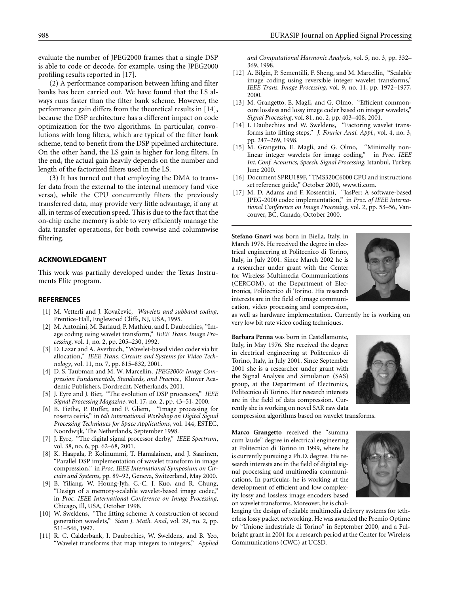evaluate the number of JPEG2000 frames that a single DSP is able to code or decode, for example, using the JPEG2000 profiling results reported in [\[17](#page-7-16)].

(2) A performance comparison between lifting and filter banks has been carried out. We have found that the LS always runs faster than the filter bank scheme. However, the performance gain differs from the theoretical results in [\[14\]](#page-7-13), because the DSP architecture has a different impact on code optimization for the two algorithms. In particular, convolutions with long filters, which are typical of the filter bank scheme, tend to benefit from the DSP pipelined architecture. On the other hand, the LS gain is higher for long filters. In the end, the actual gain heavily depends on the number and length of the factorized filters used in the LS.

(3) It has turned out that employing the DMA to transfer data from the external to the internal memory (and vice versa), while the CPU concurrently filters the previously transferred data, may provide very little advantage, if any at all, in terms of execution speed. This is due to the fact that the on-chip cache memory is able to very efficiently manage the data transfer operations, for both rowwise and columnwise filtering.

# **ACKNOWLEDGMENT**

This work was partially developed under the Texas Instruments Elite program.

# <span id="page-7-0"></span>**REFERENCES**

- [1] M. Vetterli and J. Kovačević, Wavelets and subband coding, Prentice-Hall, Englewood Cliffs, NJ, USA, 1995.
- <span id="page-7-1"></span>[2] M. Antonini, M. Barlaud, P. Mathieu, and I. Daubechies, "Image coding using wavelet transform," *IEEE Trans. Image Processing*, vol. 1, no. 2, pp. 205–230, 1992.
- <span id="page-7-2"></span>[3] D. Lazar and A. Averbuch, "Wavelet-based video coder via bit allocation," *IEEE Trans. Circuits and Systems for Video Technology*, vol. 11, no. 7, pp. 815–832, 2001.
- <span id="page-7-3"></span>[4] D. S. Taubman and M. W. Marcellin, *JPEG2000: Image Compression Fundamentals, Standards, and Practice*, Kluwer Academic Publishers, Dordrecht, Netherlands, 2001.
- <span id="page-7-4"></span>[5] J. Eyre and J. Bier, "The evolution of DSP processors," *IEEE Signal Processing Magazine*, vol. 17, no. 2, pp. 43–51, 2000.
- <span id="page-7-5"></span>[6] B. Fiethe, P. Rüffer, and F. Gliem, "Image processing for rosetta osiris," in *6th International Workshop on Digital Signal Processing Techniques for Space Applications*, vol. 144, ESTEC, Noordwijk, The Netherlands, September 1998.
- <span id="page-7-6"></span>[7] J. Eyre, "The digital signal processor derby," *IEEE Spectrum*, vol. 38, no. 6, pp. 62–68, 2001.
- <span id="page-7-7"></span>[8] K. Haapala, P. Kolinummi, T. Hamalainen, and J. Saarinen, "Parallel DSP implementation of wavelet transform in image compression," in *Proc. IEEE International Symposium on Circuits and Systems*, pp. 89–92, Geneva, Switzerland, May 2000.
- <span id="page-7-8"></span>[9] B. Yiliang, W. Houng-Jyh, C.-C. J. Kuo, and R. Chung, "Design of a memory-scalable wavelet-based image codec," in *Proc. IEEE International Conference on Image Processing*, Chicago, Ill, USA, October 1998.
- <span id="page-7-9"></span>[10] W. Sweldens, "The lifting scheme: A construction of second generation wavelets," *Siam J. Math. Anal*, vol. 29, no. 2, pp. 511–546, 1997.
- <span id="page-7-10"></span>[11] R. C. Calderbank, I. Daubechies, W. Sweldens, and B. Yeo, "Wavelet transforms that map integers to integers," *Applied*

*and Computational Harmonic Analysis*, vol. 5, no. 3, pp. 332– 369, 1998.

- <span id="page-7-11"></span>[12] A. Bilgin, P. Sementilli, F. Sheng, and M. Marcellin, "Scalable image coding using reversible integer wavelet transforms," *IEEE Trans. Image Processing*, vol. 9, no. 11, pp. 1972–1977, 2000.
- <span id="page-7-12"></span>[13] M. Grangetto, E. Magli, and G. Olmo, "Efficient commoncore lossless and lossy image coder based on integer wavelets," *Signal Processing*, vol. 81, no. 2, pp. 403–408, 2001.
- <span id="page-7-13"></span>[14] I. Daubechies and W. Sweldens, "Factoring wavelet transforms into lifting steps," *J. Fourier Anal. Appl.*, vol. 4, no. 3, pp. 247–269, 1998.
- <span id="page-7-14"></span>[15] M. Grangetto, E. Magli, and G. Olmo, "Minimally nonlinear integer wavelets for image coding," in *Proc. IEEE Int. Conf. Acoustics, Speech, Signal Processing*, Istanbul, Turkey, June 2000.
- <span id="page-7-15"></span>[16] Document SPRU189F, "TMS320C6000 CPU and instructions set reference guide," October 2000, [www.ti.com.](file:www.ti.com)
- <span id="page-7-16"></span>[17] M. D. Adams and F. Kossentini, "JasPer: A software-based JPEG-2000 codec implementation," in *Proc. of IEEE International Conference on Image Processing*, vol. 2, pp. 53–56, Vancouver, BC, Canada, October 2000.

**Stefano Gnavi** was born in Biella, Italy, in March 1976. He received the degree in electrical engineering at Politecnico di Torino, Italy, in July 2001. Since March 2002 he is a researcher under grant with the Center for Wireless Multimedia Communications (CERCOM), at the Department of Electronics, Politecnico di Torino. His research interests are in the field of image communication, video processing and compression,



as well as hardware implementation. Currently he is working on very low bit rate video coding techniques.

**Barbara Penna** was born in Castellamonte, Italy, in May 1976. She received the degree in electrical engineering at Politecnico di Torino, Italy, in July 2001. Since September 2001 she is a researcher under grant with the Signal Analysis and Simulation (SAS) group, at the Department of Electronics, Politecnico di Torino. Her research interests are in the field of data compression. Currently she is working on novel SAR raw data



compression algorithms based on wavelet transforms.

**Marco Grangetto** received the "summa cum laude" degree in electrical engineering at Politecnico di Torino in 1999, where he is currently pursuing a Ph.D. degree. His research interests are in the field of digital signal processing and multimedia communications. In particular, he is working at the development of efficient and low complexity lossy and lossless image encoders based on wavelet transforms. Moreover, he is chal-



lenging the design of reliable multimedia delivery systems for tetherless lossy packet networking. He was awarded the Premio Optime by "Unione industriale di Torino" in September 2000, and a Fulbright grant in 2001 for a research period at the Center for Wireless Communications (CWC) at UCSD.